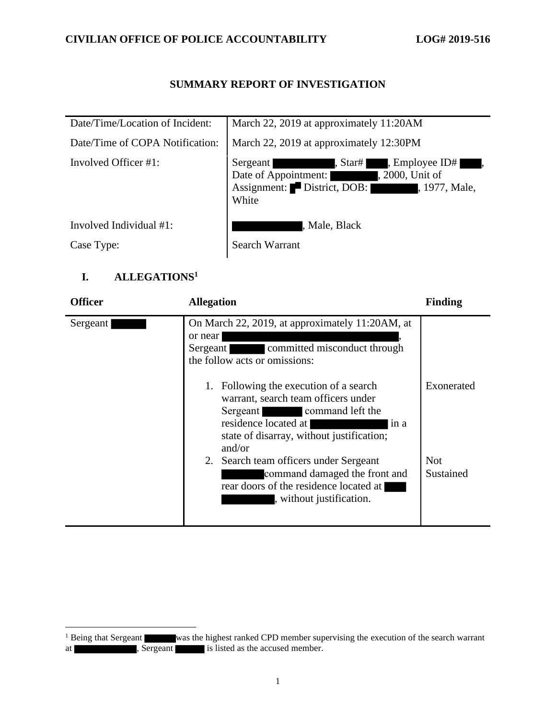## **CIVILIAN OFFICE OF POLICE ACCOUNTABILITY LOG# 2019-516**

## **SUMMARY REPORT OF INVESTIGATION**

| Date/Time/Location of Incident: | March 22, 2019 at approximately 11:20AM                                                                                                                       |
|---------------------------------|---------------------------------------------------------------------------------------------------------------------------------------------------------------|
| Date/Time of COPA Notification: | March 22, 2019 at approximately 12:30PM                                                                                                                       |
| Involved Officer #1:            | , Star#<br>, Employee ID#<br>Sergeant<br>Date of Appointment:<br>, 2000, Unit of<br><u>i sa sa sa</u><br>Assignment: District, DOB:<br>, 1977, Male,<br>White |
| Involved Individual #1:         | , Male, Black                                                                                                                                                 |
| Case Type:                      | <b>Search Warrant</b>                                                                                                                                         |

## **I. ALLEGATIONS<sup>1</sup>**

| <b>Officer</b> | <b>Allegation</b>                                                                                                                                                                 | <b>Finding</b>          |
|----------------|-----------------------------------------------------------------------------------------------------------------------------------------------------------------------------------|-------------------------|
| Sergeant       | On March 22, 2019, at approximately 11:20AM, at<br>or near<br>committed misconduct through<br>Sergeant<br>the follow acts or omissions:<br>1. Following the execution of a search | Exonerated              |
|                | warrant, search team officers under<br>command left the<br>Sergeant<br>residence located at<br>in a<br>state of disarray, without justification;<br>and/or                        |                         |
|                | 2. Search team officers under Sergeant<br>command damaged the front and<br>rear doors of the residence located at<br>, without justification.                                     | <b>Not</b><br>Sustained |

<sup>&</sup>lt;sup>1</sup> Being that Sergeant was the highest ranked CPD member supervising the execution of the search warrant at strategies of the sergeant is listed as the accused member.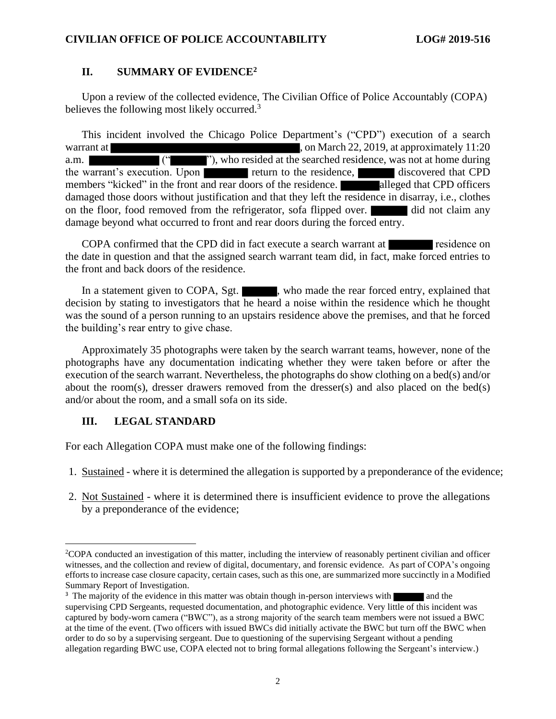### **II. SUMMARY OF EVIDENCE<sup>2</sup>**

Upon a review of the collected evidence, The Civilian Office of Police Accountably (COPA) believes the following most likely occurred.<sup>3</sup>

This incident involved the Chicago Police Department's ("CPD") execution of a search warrant at  $\blacksquare$ , on March 22, 2019, at approximately 11:20 a.m.  $($ " "), who resided at the searched residence, was not at home during the warrant's execution. Upon return to the residence, discovered that CPD members "kicked" in the front and rear doors of the residence. alleged that CPD officers damaged those doors without justification and that they left the residence in disarray, i.e., clothes on the floor, food removed from the refrigerator, sofa flipped over. did not claim any damage beyond what occurred to front and rear doors during the forced entry.

COPA confirmed that the CPD did in fact execute a search warrant at residence on the date in question and that the assigned search warrant team did, in fact, make forced entries to the front and back doors of the residence.

In a statement given to COPA, Sgt.  $\blacksquare$ , who made the rear forced entry, explained that decision by stating to investigators that he heard a noise within the residence which he thought was the sound of a person running to an upstairs residence above the premises, and that he forced the building's rear entry to give chase.

Approximately 35 photographs were taken by the search warrant teams, however, none of the photographs have any documentation indicating whether they were taken before or after the execution of the search warrant. Nevertheless, the photographs do show clothing on a bed(s) and/or about the room(s), dresser drawers removed from the dresser(s) and also placed on the bed(s) and/or about the room, and a small sofa on its side.

#### **III. LEGAL STANDARD**

For each Allegation COPA must make one of the following findings:

- 1. Sustained where it is determined the allegation is supported by a preponderance of the evidence;
- 2. Not Sustained where it is determined there is insufficient evidence to prove the allegations by a preponderance of the evidence;

<sup>2</sup>COPA conducted an investigation of this matter, including the interview of reasonably pertinent civilian and officer witnesses, and the collection and review of digital, documentary, and forensic evidence. As part of COPA's ongoing efforts to increase case closure capacity, certain cases, such as this one, are summarized more succinctly in a Modified Summary Report of Investigation.

<sup>&</sup>lt;sup>3</sup> The majority of the evidence in this matter was obtain though in-person interviews with and the supervising CPD Sergeants, requested documentation, and photographic evidence. Very little of this incident was captured by body-worn camera ("BWC"), as a strong majority of the search team members were not issued a BWC at the time of the event. (Two officers with issued BWCs did initially activate the BWC but turn off the BWC when order to do so by a supervising sergeant. Due to questioning of the supervising Sergeant without a pending allegation regarding BWC use, COPA elected not to bring formal allegations following the Sergeant's interview.)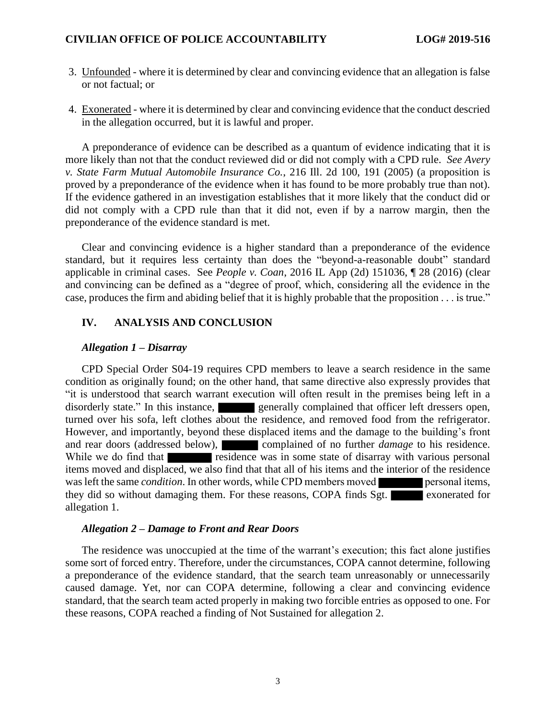- 3. Unfounded where it is determined by clear and convincing evidence that an allegation is false or not factual; or
- 4. Exonerated where it is determined by clear and convincing evidence that the conduct descried in the allegation occurred, but it is lawful and proper.

A preponderance of evidence can be described as a quantum of evidence indicating that it is more likely than not that the conduct reviewed did or did not comply with a CPD rule. *See Avery v. State Farm Mutual Automobile Insurance Co.*, 216 Ill. 2d 100, 191 (2005) (a proposition is proved by a preponderance of the evidence when it has found to be more probably true than not). If the evidence gathered in an investigation establishes that it more likely that the conduct did or did not comply with a CPD rule than that it did not, even if by a narrow margin, then the preponderance of the evidence standard is met.

Clear and convincing evidence is a higher standard than a preponderance of the evidence standard, but it requires less certainty than does the "beyond-a-reasonable doubt" standard applicable in criminal cases. See *People v. Coan*, 2016 IL App (2d) 151036, ¶ 28 (2016) (clear and convincing can be defined as a "degree of proof, which, considering all the evidence in the case, produces the firm and abiding belief that it is highly probable that the proposition . . . is true."

## **IV. ANALYSIS AND CONCLUSION**

#### *Allegation 1 – Disarray*

CPD Special Order S04-19 requires CPD members to leave a search residence in the same condition as originally found; on the other hand, that same directive also expressly provides that "it is understood that search warrant execution will often result in the premises being left in a disorderly state." In this instance, generally complained that officer left dressers open, turned over his sofa, left clothes about the residence, and removed food from the refrigerator. However, and importantly, beyond these displaced items and the damage to the building's front and rear doors (addressed below), complained of no further *damage* to his residence. While we do find that residence was in some state of disarray with various personal items moved and displaced, we also find that that all of his items and the interior of the residence was left the same *condition*. In other words, while CPD members moved **personal items**, they did so without damaging them. For these reasons, COPA finds Sgt. exonerated for allegation 1.

#### *Allegation 2 – Damage to Front and Rear Doors*

The residence was unoccupied at the time of the warrant's execution; this fact alone justifies some sort of forced entry. Therefore, under the circumstances, COPA cannot determine, following a preponderance of the evidence standard, that the search team unreasonably or unnecessarily caused damage. Yet, nor can COPA determine, following a clear and convincing evidence standard, that the search team acted properly in making two forcible entries as opposed to one. For these reasons, COPA reached a finding of Not Sustained for allegation 2.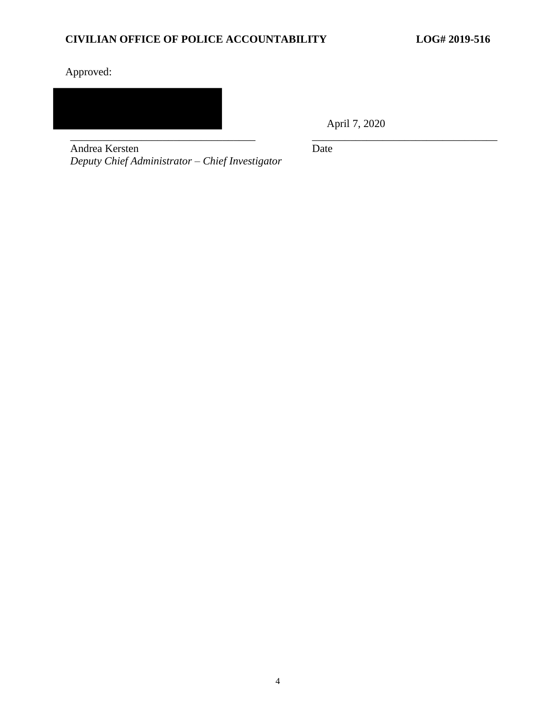# Approved:



April 7, 2020

Andrea Kersten *Deputy Chief Administrator – Chief Investigator* Date